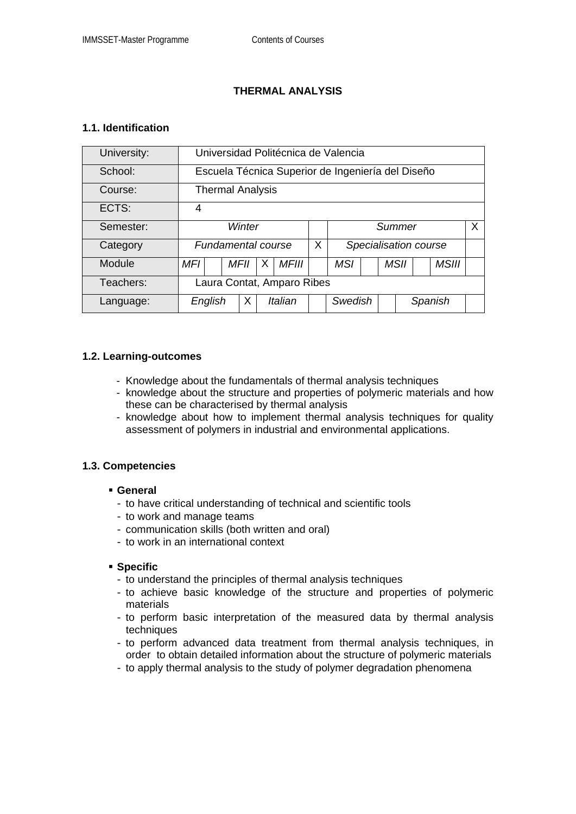## **THERMAL ANALYSIS**

### **1.1. Identification**

| University: | Universidad Politécnica de Valencia               |      |         |              |   |                       |  |  |             |  |              |  |
|-------------|---------------------------------------------------|------|---------|--------------|---|-----------------------|--|--|-------------|--|--------------|--|
| School:     | Escuela Técnica Superior de Ingeniería del Diseño |      |         |              |   |                       |  |  |             |  |              |  |
| Course:     | <b>Thermal Analysis</b>                           |      |         |              |   |                       |  |  |             |  |              |  |
| ECTS:       | 4                                                 |      |         |              |   |                       |  |  |             |  |              |  |
| Semester:   | Winter                                            |      |         |              |   | X<br>Summer           |  |  |             |  |              |  |
| Category    | <b>Fundamental course</b>                         |      |         |              | X | Specialisation course |  |  |             |  |              |  |
| Module      | MFI                                               | MFII | X       | <b>MFIII</b> |   | <b>MSI</b>            |  |  | <b>MSII</b> |  | <b>MSIII</b> |  |
| Teachers:   | Laura Contat, Amparo Ribes                        |      |         |              |   |                       |  |  |             |  |              |  |
| Language:   | English                                           | Χ    | Italian |              |   | Swedish               |  |  | Spanish     |  |              |  |

### **1.2. Learning-outcomes**

- Knowledge about the fundamentals of thermal analysis techniques
- knowledge about the structure and properties of polymeric materials and how these can be characterised by thermal analysis
- knowledge about how to implement thermal analysis techniques for quality assessment of polymers in industrial and environmental applications.

#### **1.3. Competencies**

## **General**

- to have critical understanding of technical and scientific tools
- to work and manage teams
- communication skills (both written and oral)
- to work in an international context

#### **Specific**

- to understand the principles of thermal analysis techniques
- to achieve basic knowledge of the structure and properties of polymeric materials
- to perform basic interpretation of the measured data by thermal analysis techniques
- to perform advanced data treatment from thermal analysis techniques, in order to obtain detailed information about the structure of polymeric materials
- to apply thermal analysis to the study of polymer degradation phenomena